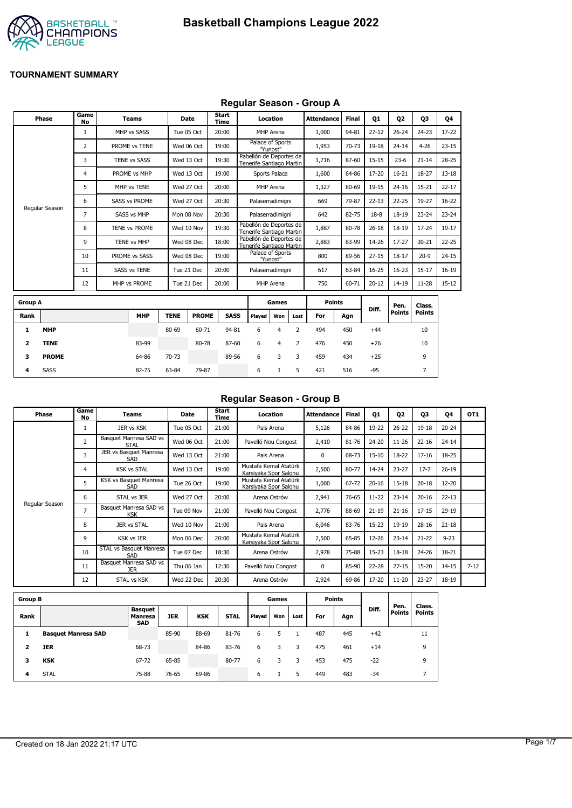

## **Regular Season - Group A**

|                | Phase          | Game<br><b>No</b> | <b>Teams</b>         | Date        |              | <b>Start</b><br><b>Time</b> |                                                     | Location                     |                | <b>Attendance</b> | <b>Final</b> | <b>Q1</b> | 02                    | 03                      | 04        |
|----------------|----------------|-------------------|----------------------|-------------|--------------|-----------------------------|-----------------------------------------------------|------------------------------|----------------|-------------------|--------------|-----------|-----------------------|-------------------------|-----------|
|                |                | $\mathbf{1}$      | MHP vs SASS          | Tue 05 Oct  |              | 20:00                       |                                                     | MHP Arena                    |                | 1,000             | 94-81        | $27 - 12$ | $26 - 24$             | $24 - 23$               | 17-22     |
|                |                | 2                 | PROME vs TENE        | Wed 06 Oct  |              | 19:00                       |                                                     | Palace of Sports<br>"Yunost" |                | 1,953             | 70-73        | 19-18     | $24 - 14$             | $4 - 26$                | $23 - 15$ |
|                |                | 3                 | <b>TENE vs SASS</b>  | Wed 13 Oct  |              | 19:30                       | Pabellón de Deportes de<br>Tenerife Santiago Martin |                              |                | 1,716             | 87-60        | $15 - 15$ | $23 - 6$              | $21 - 14$               | $28 - 25$ |
|                |                | 4                 | PROME vs MHP         | Wed 13 Oct  |              | 19:00                       |                                                     | Sports Palace                |                | 1,600             | 64-86        | 17-20     | $16 - 21$             | 18-27                   | $13 - 18$ |
|                |                | 5                 | MHP vs TENE          | Wed 27 Oct  |              | 20:00                       |                                                     | MHP Arena                    |                | 1,327             | 80-69        | 19-15     | $24 - 16$             | $15 - 21$               | $22 - 17$ |
|                |                | 6                 | <b>SASS vs PROME</b> | Wed 27 Oct  |              | 20:30                       |                                                     | Palaserradimigni             |                | 669               | 79-87        | $22 - 13$ | $22 - 25$             | 19-27                   | $16 - 22$ |
|                | Regular Season | 7                 | <b>SASS vs MHP</b>   | Mon 08 Nov  |              | 20:30                       |                                                     | Palaserradimigni             |                | 642               | 82-75        | $18-8$    | $18 - 19$             | $23 - 24$               | $23 - 24$ |
|                |                | 8                 | TENE vs PROME        | Wed 10 Nov  |              | 19:30                       | Pabellón de Deportes de<br>Tenerife Santiago Martin |                              |                | 1,887             | 80-78        | $26 - 18$ | $18 - 19$             | $17 - 24$               | 19-17     |
|                |                | 9                 | <b>TENE vs MHP</b>   | Wed 08 Dec  |              | 18:00                       | Pabellón de Deportes de<br>Tenerife Santiago Martin |                              |                | 2,883             | 83-99        | 14-26     | $17 - 27$             | $30 - 21$               | $22 - 25$ |
|                |                | 10                | PROME vs SASS        | Wed 08 Dec  |              | 19:00                       |                                                     | Palace of Sports<br>"Yunost" |                | 800               | 89-56        | $27 - 15$ | $18 - 17$             | $20 - 9$                | $24 - 15$ |
|                |                | 11                | <b>SASS vs TENE</b>  | Tue 21 Dec  |              | 20:00                       |                                                     | Palaserradimigni             |                | 617               | 63-84        | $16 - 25$ | $16 - 23$             | $15 - 17$               | $16 - 19$ |
|                |                | 12                | MHP vs PROME         | Tue 21 Dec  |              | 20:00                       |                                                     | MHP Arena                    |                | 750               | 60-71        | $20 - 12$ | $14 - 19$             | $11 - 28$               | $15 - 12$ |
| <b>Group A</b> |                |                   |                      |             |              |                             |                                                     | Games                        |                | <b>Points</b>     |              |           |                       |                         |           |
| Rank           |                |                   | <b>MHP</b>           | <b>TENE</b> | <b>PROME</b> | <b>SASS</b>                 | Played                                              | Won                          | Lost           | For               | Agn          | Diff.     | Pen.<br><b>Points</b> | Class.<br><b>Points</b> |           |
| 1              | <b>MHP</b>     |                   |                      | 80-69       | 60-71        | 94-81                       | 6                                                   | 4                            | $\overline{2}$ | 494               | 450          | $+44$     |                       | 10                      |           |
| 2              | <b>TENE</b>    |                   | 83-99                |             | 80-78        | 87-60                       | 6                                                   | $\overline{4}$               | 2              | 476               | 450          | $+26$     |                       | 10                      |           |
| 3              | <b>PROME</b>   |                   | 64-86                | 70-73       |              | 89-56                       | 6                                                   | 3                            | 3              | 459               | 434          | $+25$     |                       | 9                       |           |

**4** SASS 82-75 63-84 79-87 6 1 5 421 516 -95 7

## **Regular Season - Group B**

| Phase          | Game<br>No     | Teams                                | Date       | Start<br>Time | Location                                       | <b>Attendance</b> | <b>Final</b> | 01        | 02        | 03        | 04        | OT <sub>1</sub> |
|----------------|----------------|--------------------------------------|------------|---------------|------------------------------------------------|-------------------|--------------|-----------|-----------|-----------|-----------|-----------------|
|                |                | JER vs KSK                           | Tue 05 Oct | 21:00         | Pais Arena                                     | 5,126             | 84-86        | 19-22     | $26 - 22$ | $19 - 18$ | $20 - 24$ |                 |
|                | $\overline{2}$ | Basquet Manresa SAD vs<br>STAL       | Wed 06 Oct | 21:00         | Pavelló Nou Congost                            | 2,410             | 81-76        | 24-20     | $11 - 26$ | $22 - 16$ | $24 - 14$ |                 |
|                | 3              | JER vs Basquet Manresa<br>SAD        | Wed 13 Oct | 21:00         | Pais Arena                                     | $\Omega$          | 68-73        | $15 - 10$ | 18-22     | $17 - 16$ | 18-25     |                 |
|                | 4              | <b>KSK vs STAL</b>                   | Wed 13 Oct | 19:00         | Mustafa Kemal Atatürk<br>Karsivaka Spor Salonu | 2,500             | 80-77        | 14-24     | $23 - 27$ | $17 - 7$  | $26 - 19$ |                 |
|                | 5              | KSK vs Basquet Manresa<br>SAD        | Tue 26 Oct | 19:00         | Mustafa Kemal Atatürk<br>Karsiyaka Spor Salonu | 1,000             | 67-72        | $20 - 16$ | $15 - 18$ | $20 - 18$ | $12 - 20$ |                 |
|                | 6              | STAL vs JER                          | Wed 27 Oct | 20:00         | Arena Ostrów                                   | 2,941             | 76-65        | $11 - 22$ | $23 - 14$ | $20 - 16$ | $22 - 13$ |                 |
| Regular Season | 7              | Basquet Manresa SAD vs<br><b>KSK</b> | Tue 09 Nov | 21:00         | Pavelló Nou Congost                            | 2,776             | 88-69        | $21 - 19$ | $21 - 16$ | $17 - 15$ | 29-19     |                 |
|                | 8              | JER vs STAL                          | Wed 10 Nov | 21:00         | Pais Arena                                     | 6,046             | 83-76        | $15-23$   | 19-19     | $28 - 16$ | $21 - 18$ |                 |
|                | 9              | <b>KSK vs JER</b>                    | Mon 06 Dec | 20:00         | Mustafa Kemal Atatürk<br>Karsiyaka Spor Salonu | 2,500             | 65-85        | 12-26     | $23 - 14$ | $21 - 22$ | $9 - 23$  |                 |
|                | 10             | STAL vs Basquet Manresa<br>SAD       | Tue 07 Dec | 18:30         | Arena Ostrów                                   | 2,978             | 75-88        | $15 - 23$ | $18 - 18$ | $24 - 26$ | 18-21     |                 |
|                | 11             | Basquet Manresa SAD vs<br><b>JER</b> | Thu 06 Jan | 12:30         | Pavelló Nou Congost                            | $\Omega$          | 85-90        | $22 - 28$ | $27 - 15$ | $15 - 20$ | $14 - 15$ | $7 - 12$        |
|                | 12             | STAL vs KSK                          | Wed 22 Dec | 20:30         | Arena Ostrów                                   | 2,924             | 69-86        | 17-20     | $11 - 20$ | $23 - 27$ | 18-19     |                 |

| <b>Group B</b> |                            |                                                |            |            |             |        | Games |      |     | <b>Points</b> |       |                       |                         |
|----------------|----------------------------|------------------------------------------------|------------|------------|-------------|--------|-------|------|-----|---------------|-------|-----------------------|-------------------------|
| Rank           |                            | <b>Basquet</b><br><b>Manresa</b><br><b>SAD</b> | <b>JER</b> | <b>KSK</b> | <b>STAL</b> | Played | Won   | Lost | For | Agn           | Diff. | Pen.<br><b>Points</b> | Class.<br><b>Points</b> |
|                | <b>Basquet Manresa SAD</b> |                                                | 85-90      | 88-69      | 81-76       | 6      |       |      | 487 | 445           | $+42$ |                       | 11                      |
|                | <b>JER</b>                 | 68-73                                          |            | 84-86      | 83-76       | 6      |       | 3    | 475 | 461           | $+14$ |                       | 9                       |
| з              | <b>KSK</b>                 | 67-72                                          | 65-85      |            | 80-77       | 6      | 3     | 3    | 453 | 475           | $-22$ |                       | 9                       |
| 4              | <b>STAL</b>                | 75-88                                          | 76-65      | 69-86      |             | 6      |       | 5    | 449 | 483           | -34   |                       | -                       |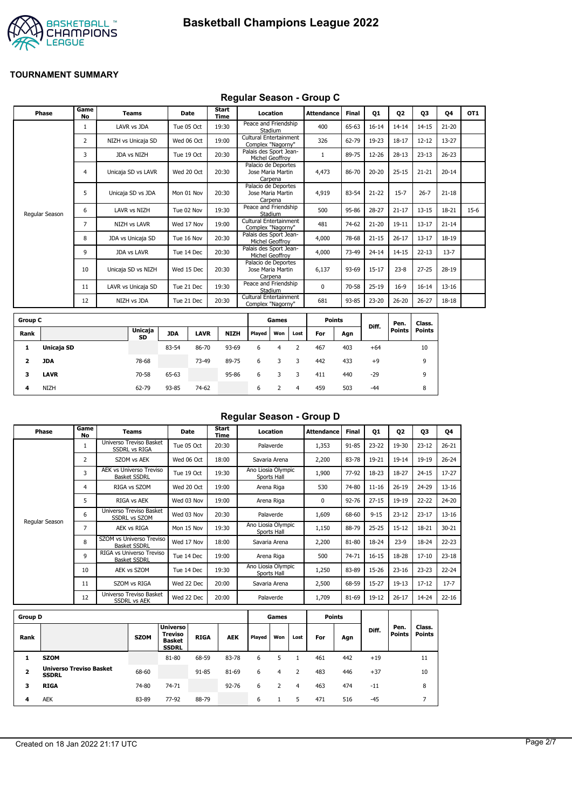



### **Regular Season - Group C**

| Phase          | Game<br><b>No</b> | <b>Teams</b>        | Date       | Start<br>Time | Location                                            | <b>Attendance</b> | <b>Final</b> | Q1        | Q <sub>2</sub> | Q3        | Q4        | OT <sub>1</sub> |
|----------------|-------------------|---------------------|------------|---------------|-----------------------------------------------------|-------------------|--------------|-----------|----------------|-----------|-----------|-----------------|
|                | 1                 | LAVR vs JDA         | Tue 05 Oct | 19:30         | Peace and Friendship<br>Stadium                     | 400               | 65-63        | $16 - 14$ | $14 - 14$      | $14 - 15$ | $21 - 20$ |                 |
|                | 2                 | NIZH vs Unicaja SD  | Wed 06 Oct | 19:00         | Cultural Entertainment<br>Complex "Nagorny"         | 326               | 62-79        | 19-23     | $18 - 17$      | $12 - 12$ | 13-27     |                 |
|                | 3                 | JDA vs NIZH         | Tue 19 Oct | 20:30         | Palais des Sport Jean-<br>Michel Geoffroy           |                   | 89-75        | 12-26     | $28-13$        | $23 - 13$ | $26 - 23$ |                 |
|                | 4                 | Unicaja SD vs LAVR  | Wed 20 Oct | 20:30         | Palacio de Deportes<br>Jose Maria Martin<br>Carpena | 4,473             | 86-70        | $20 - 20$ | $25 - 15$      | $21 - 21$ | $20 - 14$ |                 |
|                | 5                 | Unicaja SD vs JDA   | Mon 01 Nov | 20:30         | Palacio de Deportes<br>Jose Maria Martin<br>Carpena | 4,919             | 83-54        | $21 - 22$ | $15 - 7$       | $26 - 7$  | $21 - 18$ |                 |
| Regular Season | 6                 | LAVR vs NIZH        | Tue 02 Nov | 19:30         | Peace and Friendship<br>Stadium                     | 500               | 95-86        | $28 - 27$ | $21 - 17$      | $13 - 15$ | 18-21     | $15-6$          |
|                | $\overline{7}$    | <b>NIZH vs LAVR</b> | Wed 17 Nov | 19:00         | Cultural Entertainment<br>Complex "Nagorny"         | 481               | 74-62        | $21 - 20$ | $19 - 11$      | $13 - 17$ | $21 - 14$ |                 |
|                | 8                 | JDA vs Unicaja SD   | Tue 16 Nov | 20:30         | Palais des Sport Jean-<br>Michel Geoffroy           | 4,000             | 78-68        | $21 - 15$ | $26 - 17$      | $13 - 17$ | 18-19     |                 |
|                | 9                 | <b>JDA vs LAVR</b>  | Tue 14 Dec | 20:30         | Palais des Sport Jean-<br>Michel Geoffrov           | 4,000             | 73-49        | $24 - 14$ | $14 - 15$      | $22 - 13$ | $13 - 7$  |                 |
|                | 10                | Unicaja SD vs NIZH  | Wed 15 Dec | 20:30         | Palacio de Deportes<br>Jose Maria Martin<br>Carpena | 6,137             | 93-69        | $15 - 17$ | $23 - 8$       | $27 - 25$ | 28-19     |                 |
|                | 11                | LAVR vs Unicaja SD  | Tue 21 Dec | 19:30         | Peace and Friendship<br>Stadium                     | $\Omega$          | 70-58        | $25-19$   | $16-9$         | $16 - 14$ | $13 - 16$ |                 |
|                | 12                | NIZH vs JDA         | Tue 21 Dec | 20:30         | Cultural Entertainment<br>Complex "Nagorny"         | 681               | 93-85        | 23-20     | $26 - 20$      | $26 - 27$ | 18-18     |                 |
|                |                   |                     |            |               |                                                     |                   |              |           |                |           |           |                 |

| <b>Group C</b> |             |                      |            |             |             |        | Games |      | <b>Points</b> |     |       | Pen.   | Class. |
|----------------|-------------|----------------------|------------|-------------|-------------|--------|-------|------|---------------|-----|-------|--------|--------|
| Rank           |             | <b>Unicaja</b><br>SD | <b>JDA</b> | <b>LAVR</b> | <b>NIZH</b> | Played | Won   | Lost | For           | Agn | Diff. | Points | Points |
| л.             | Unicaja SD  |                      | 83-54      | 86-70       | 93-69       | 6      | 4     |      | 467           | 403 | $+64$ |        | 10     |
| 2              | JDA         | 78-68                |            | 73-49       | 89-75       | 6      | 3     | 3    | 442           | 433 | $+9$  |        | 9      |
| 3              | <b>LAVR</b> | 70-58                | 65-63      |             | 95-86       | 6      |       |      | 411           | 440 | $-29$ |        | 9      |
| 4              | <b>NIZH</b> | 62-79                | 93-85      | 74-62       |             | 6      |       | 4    | 459           | 503 | $-44$ |        | 8      |

## **Regular Season - Group D**

| Phase          | Game<br>No     | Teams                                                 | <b>Date</b> | Start<br>Time | Location                          | <b>Attendance</b> | Final     | Q1        | 02        | 03        | Q4        |
|----------------|----------------|-------------------------------------------------------|-------------|---------------|-----------------------------------|-------------------|-----------|-----------|-----------|-----------|-----------|
|                | 1              | Universo Treviso Basket<br><b>SSDRL vs RIGA</b>       | Tue 05 Oct  | 20:30         | Palaverde                         | 1,353             | 91-85     | $23 - 22$ | 19-30     | $23 - 12$ | $26 - 21$ |
|                | $\overline{2}$ | SZOM vs AEK                                           | Wed 06 Oct  | 18:00         | Savaria Arena                     | 2,200             | 83-78     | 19-21     | $19 - 14$ | 19-19     | $26 - 24$ |
|                | 3              | <b>AEK vs Universo Treviso</b><br><b>Basket SSDRL</b> | Tue 19 Oct  | 19:30         | Ano Liosia Olympic<br>Sports Hall | 1,900             | 77-92     | 18-23     | 18-27     | $24 - 15$ | $17 - 27$ |
|                | 4              | RIGA vs SZOM                                          | Wed 20 Oct  | 19:00         | Arena Riga                        | 530               | 74-80     | $11 - 16$ | $26 - 19$ | 24-29     | $13 - 16$ |
|                | 5              | RIGA vs AEK                                           | Wed 03 Nov  | 19:00         | Arena Riga                        | 0                 | $92 - 76$ | $27 - 15$ | 19-19     | $22 - 22$ | 24-20     |
|                | 6              | Universo Treviso Basket<br><b>SSDRL vs SZOM</b>       | Wed 03 Nov  | 20:30         | Palaverde                         | 1,609             | 68-60     | $9 - 15$  | $23 - 12$ | $23 - 17$ | $13 - 16$ |
| Regular Season | 7              | AEK vs RIGA                                           | Mon 15 Nov  | 19:30         | Ano Liosia Olympic<br>Sports Hall | 1,150             | 88-79     | $25 - 25$ | $15 - 12$ | 18-21     | $30 - 21$ |
|                | 8              | SZOM vs Universo Treviso<br><b>Basket SSDRL</b>       | Wed 17 Nov  | 18:00         | Savaria Arena                     | 2,200             | 81-80     | 18-24     | $23-9$    | 18-24     | $22 - 23$ |
|                | 9              | RIGA vs Universo Treviso<br><b>Basket SSDRL</b>       | Tue 14 Dec  | 19:00         | Arena Riga                        | 500               | 74-71     | $16 - 15$ | 18-28     | $17 - 10$ | $23 - 18$ |
|                | 10             | AEK vs SZOM                                           | Tue 14 Dec  | 19:30         | Ano Liosia Olympic<br>Sports Hall | 1,250             | 83-89     | 15-26     | $23 - 16$ | $23 - 23$ | $22 - 24$ |
|                | 11             | SZOM vs RIGA                                          | Wed 22 Dec  | 20:00         | Savaria Arena                     | 2,500             | 68-59     | $15 - 27$ | $19-13$   | $17 - 12$ | $17 - 7$  |
|                | 12             | Universo Treviso Basket<br><b>SSDRL vs AEK</b>        | Wed 22 Dec  | 20:00         | Palaverde                         | 1,709             | 81-69     | 19-12     | $26 - 17$ | 14-24     | $22 - 16$ |
|                |                |                                                       |             |               |                                   |                   |           |           |           |           |           |

| <b>Group D</b>          |                                                |             |                                                                    |             |            |        | Games |      |     | Points |       |                       |                         |
|-------------------------|------------------------------------------------|-------------|--------------------------------------------------------------------|-------------|------------|--------|-------|------|-----|--------|-------|-----------------------|-------------------------|
| Rank                    |                                                | <b>SZOM</b> | <b>Universo</b><br><b>Treviso</b><br><b>Basket</b><br><b>SSDRL</b> | <b>RIGA</b> | <b>AEK</b> | Played | Won   | Lost | For | Agn    | Diff. | Pen.<br><b>Points</b> | Class.<br><b>Points</b> |
|                         | <b>SZOM</b>                                    |             | 81-80                                                              | 68-59       | 83-78      | 6      |       |      | 461 | 442    | $+19$ |                       | 11                      |
| $\overline{\mathbf{2}}$ | <b>Universo Treviso Basket</b><br><b>SSDRL</b> | 68-60       |                                                                    | 91-85       | 81-69      | 6      | 4     |      | 483 | 446    | $+37$ |                       | 10                      |
| з                       | <b>RIGA</b>                                    | 74-80       | 74-71                                                              |             | $92 - 76$  | 6      |       | 4    | 463 | 474    | $-11$ |                       | 8                       |
| 4                       | <b>AEK</b>                                     | 83-89       | 77-92                                                              | 88-79       |            | 6      |       | 5    | 471 | 516    | $-45$ |                       |                         |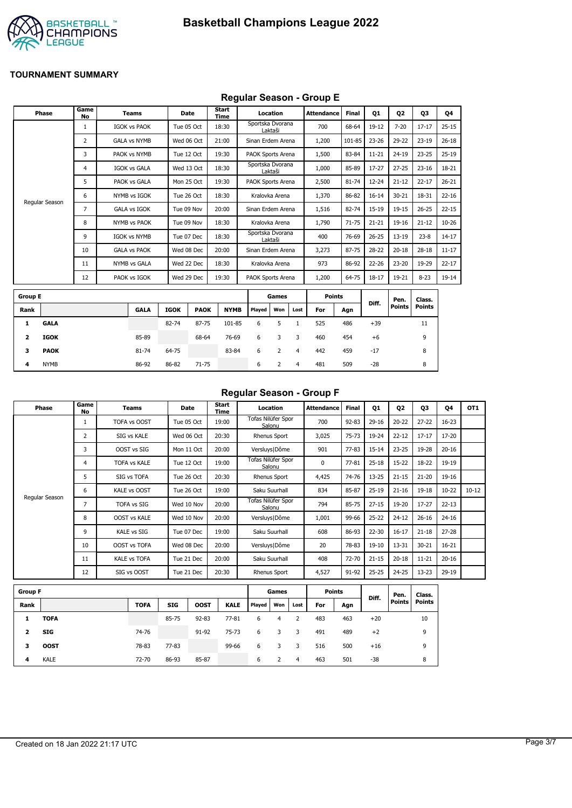

## **Regular Season - Group E**

|                | Phase          | Game<br>No     | <b>Teams</b>        |             | <b>Date</b> | Start<br>Time |                   | Location |                | <b>Attendance</b> | <b>Final</b> | 01        | <b>Q2</b>     | 03            | Q4        |
|----------------|----------------|----------------|---------------------|-------------|-------------|---------------|-------------------|----------|----------------|-------------------|--------------|-----------|---------------|---------------|-----------|
|                |                | $\mathbf{1}$   | <b>IGOK vs PAOK</b> |             | Tue 05 Oct  | 18:30         | Sportska Dvorana  | Laktaši  |                | 700               | 68-64        | $19-12$   | $7 - 20$      | $17 - 17$     | $25 - 15$ |
|                |                | $\overline{2}$ | <b>GALA vs NYMB</b> |             | Wed 06 Oct  | 21:00         | Sinan Erdem Arena |          |                | 1,200             | 101-85       | $23 - 26$ | 29-22         | $23 - 19$     | $26 - 18$ |
|                |                | 3              | PAOK vs NYMB        |             | Tue 12 Oct  | 19:30         | PAOK Sports Arena |          |                | 1,500             | 83-84        | $11 - 21$ | $24 - 19$     | $23 - 25$     | $25-19$   |
|                |                | 4              | <b>IGOK vs GALA</b> |             | Wed 13 Oct  | 18:30         | Sportska Dvorana  | Laktaši  |                | 1,000             | 85-89        | 17-27     | $27 - 25$     | $23 - 16$     | 18-21     |
|                |                | 5              | PAOK vs GALA        |             | Mon 25 Oct  | 19:30         | PAOK Sports Arena |          |                | 2,500             | 81-74        | 12-24     | $21 - 12$     | $22 - 17$     | $26 - 21$ |
|                |                | 6              | NYMB vs IGOK        |             | Tue 26 Oct  | 18:30         | Kralovka Arena    |          |                | 1,370             | 86-82        | $16 - 14$ | $30 - 21$     | 18-31         | $22 - 16$ |
|                | Regular Season | 7              | <b>GALA vs IGOK</b> |             | Tue 09 Nov  | 20:00         | Sinan Erdem Arena |          |                | 1,516             | 82-74        | 15-19     | $19 - 15$     | $26 - 25$     | $22 - 15$ |
|                |                | 8              | NYMB vs PAOK        |             | Tue 09 Nov  | 18:30         | Kralovka Arena    |          |                | 1,790             | $71 - 75$    | $21 - 21$ | $19 - 16$     | $21 - 12$     | $10 - 26$ |
|                |                | 9              | <b>IGOK vs NYMB</b> |             | Tue 07 Dec  | 18:30         | Sportska Dvorana  | Laktaši  |                | 400               | 76-69        | $26 - 25$ | $13 - 19$     | $23 - 8$      | $14 - 17$ |
|                |                | 10             | <b>GALA vs PAOK</b> |             | Wed 08 Dec  | 20:00         | Sinan Erdem Arena |          |                | 3,273             | 87-75        | 28-22     | $20 - 18$     | $28 - 18$     | $11 - 17$ |
|                |                | 11             | NYMB vs GALA        |             | Wed 22 Dec  | 18:30         | Kralovka Arena    |          |                | 973               | 86-92        | 22-26     | $23 - 20$     | 19-29         | $22 - 17$ |
|                |                | 12             | PAOK vs IGOK        |             | Wed 29 Dec  | 19:30         | PAOK Sports Arena |          |                | 1,200             | 64-75        | $18 - 17$ | 19-21         | $8 - 23$      | 19-14     |
| <b>Group E</b> |                |                |                     |             |             |               |                   | Games    |                | <b>Points</b>     |              |           | Pen.          | Class.        |           |
| Rank           |                |                | <b>GALA</b>         | <b>IGOK</b> | <b>PAOK</b> | <b>NYMB</b>   | Played            | Won      | Lost           | For               | Agn          | Diff.     | <b>Points</b> | <b>Points</b> |           |
| 1              | <b>GALA</b>    |                |                     | 82-74       | 87-75       | 101-85        | 6                 | 5        | $\mathbf{1}$   | 525               | 486          | $+39$     |               | 11            |           |
| 2              | <b>IGOK</b>    |                | 85-89               |             | 68-64       | 76-69         | 6                 | 3        | 3              | 460               | 454          | $+6$      |               | 9             |           |
| 3              | <b>PAOK</b>    |                | 81-74               | 64-75       |             | 83-84         | 6                 | 2        | $\overline{4}$ | 442               | 459          | $-17$     |               | 8             |           |
| 4              | <b>NYMB</b>    |                | 86-92               | 86-82       | 71-75       |               | 6                 | 2        | 4              | 481               | 509          | $-28$     |               | 8             |           |

#### **Regular Season - Group F**

| Phase          | Game<br>No | Teams               | Date       | Start<br>Time | Location                     | <b>Attendance</b> | <b>Final</b> | Q1        | 02        | 03        | 04        | OT <sub>1</sub> |
|----------------|------------|---------------------|------------|---------------|------------------------------|-------------------|--------------|-----------|-----------|-----------|-----------|-----------------|
|                |            | TOFA vs OOST        | Tue 05 Oct | 19:00         | Tofas Nilüfer Spor<br>Salonu | 700               | $92 - 83$    | $29-16$   | $20 - 22$ | $27 - 22$ | $16 - 23$ |                 |
|                | 2          | SIG vs KALE         | Wed 06 Oct | 20:30         | Rhenus Sport                 | 3,025             | $75 - 73$    | 19-24     | $22 - 12$ | $17 - 17$ | 17-20     |                 |
|                | 3          | OOST vs SIG         | Mon 11 Oct | 20:00         | Versluys   Dôme              | 901               | $77 - 83$    | $15 - 14$ | $23 - 25$ | 19-28     | $20 - 16$ |                 |
|                | 4          | <b>TOFA vs KALE</b> | Tue 12 Oct | 19:00         | Tofas Nilüfer Spor<br>Salonu | 0                 | $77 - 81$    | $25 - 18$ | $15-22$   | 18-22     | 19-19     |                 |
|                | 5          | SIG vs TOFA         | Tue 26 Oct | 20:30         | Rhenus Sport                 | 4,425             | 74-76        | $13 - 25$ | $21 - 15$ | $21 - 20$ | 19-16     |                 |
| Regular Season | 6          | KALE vs OOST        | Tue 26 Oct | 19:00         | Saku Suurhall                | 834               | 85-87        | $25-19$   | $21 - 16$ | $19 - 18$ | $10 - 22$ | $10 - 12$       |
|                | 7          | <b>TOFA vs SIG</b>  | Wed 10 Nov | 20:00         | Tofas Nilüfer Spor<br>Salonu | 794               | 85-75        | $27 - 15$ | 19-20     | $17 - 27$ | $22 - 13$ |                 |
|                | 8          | <b>OOST vs KALE</b> | Wed 10 Nov | 20:00         | Versluys   Dôme              | 1,001             | 99-66        | $25 - 22$ | $24 - 12$ | $26 - 16$ | $24 - 16$ |                 |
|                | 9          | <b>KALE vs SIG</b>  | Tue 07 Dec | 19:00         | Saku Suurhall                | 608               | 86-93        | $22 - 30$ | $16 - 17$ | $21 - 18$ | $27 - 28$ |                 |
|                | 10         | <b>OOST vs TOFA</b> | Wed 08 Dec | 20:00         | Versluys   Dôme              | 20                | 78-83        | 19-10     | 13-31     | $30 - 21$ | $16 - 21$ |                 |
|                | 11         | <b>KALE vs TOFA</b> | Tue 21 Dec | 20:00         | Saku Suurhall                | 408               | 72-70        | $21 - 15$ | $20 - 18$ | $11 - 21$ | $20 - 16$ |                 |
|                | 12         | SIG vs OOST         | Tue 21 Dec | 20:30         | Rhenus Sport                 | 4,527             | 91-92        | $25 - 25$ | 24-25     | $13 - 23$ | 29-19     |                 |

| <b>Group F</b> |             |             |            |             |             |        | Games |      |     | <b>Points</b> | Diff. | Pen.          | Class. |
|----------------|-------------|-------------|------------|-------------|-------------|--------|-------|------|-----|---------------|-------|---------------|--------|
| Rank           |             | <b>TOFA</b> | <b>SIG</b> | <b>OOST</b> | <b>KALE</b> | Played | Won   | Lost | For | Agn           |       | <b>Points</b> | Points |
|                | <b>TOFA</b> |             | 85-75      | $92 - 83$   | $77 - 81$   | 6      | 4     |      | 483 | 463           | $+20$ |               | 10     |
| 2              | <b>SIG</b>  | 74-76       |            | 91-92       | $75 - 73$   | 6      | 3     | 3    | 491 | 489           | $+2$  |               | 9      |
| з              | <b>OOST</b> | 78-83       | $77 - 83$  |             | 99-66       | 6      | 3     | 3    | 516 | 500           | $+16$ |               | 9      |
| 4              | <b>KALE</b> | 72-70       | 86-93      | 85-87       |             | 6      |       | 4    | 463 | 501           | -38   |               | 8      |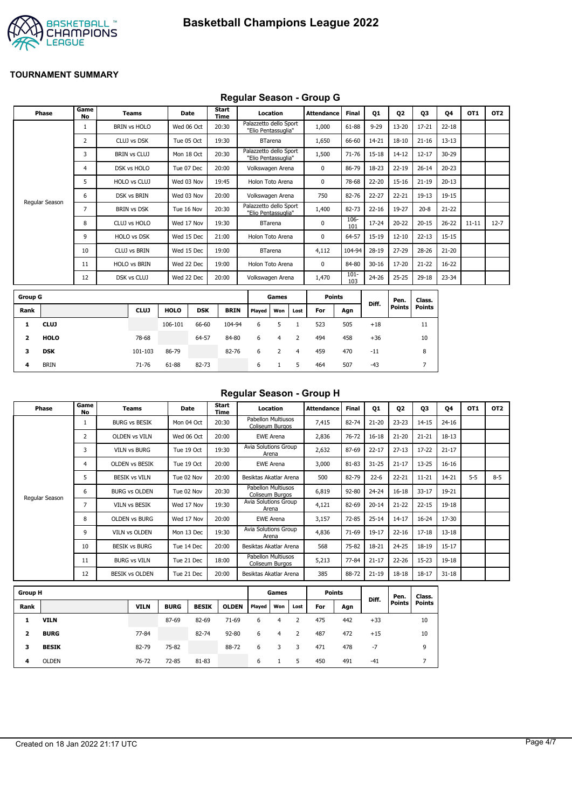

## **Regular Season - Group G**

|                | <b>Phase</b>   | Game<br><b>No</b> | <b>Teams</b>        | Date        |            | <b>Start</b><br>Time |                                               | Location       |      | <b>Attendance</b> | Final          | Q1        | Q <sub>2</sub> | Q3            | Q4        | OT1       | OT <sub>2</sub> |
|----------------|----------------|-------------------|---------------------|-------------|------------|----------------------|-----------------------------------------------|----------------|------|-------------------|----------------|-----------|----------------|---------------|-----------|-----------|-----------------|
|                |                | 1                 | <b>BRIN vs HOLO</b> | Wed 06 Oct  |            | 20:30                | Palazzetto dello Sport<br>"Elio Pentassuglia" |                |      | 1,000             | 61-88          | $9 - 29$  | $13 - 20$      | $17 - 21$     | $22 - 18$ |           |                 |
|                |                | 2                 | CLUJ vs DSK         | Tue 05 Oct  |            | 19:30                |                                               | <b>BTarena</b> |      | 1,650             | 66-60          | 14-21     | $18 - 10$      | $21 - 16$     | $13 - 13$ |           |                 |
|                |                | 3                 | <b>BRIN vs CLUJ</b> |             | Mon 18 Oct | 20:30                | Palazzetto dello Sport<br>"Elio Pentassuglia" |                |      | 1,500             | $71 - 76$      | 15-18     | $14 - 12$      | $12 - 17$     | 30-29     |           |                 |
|                |                | 4                 | DSK vs HOLO         | Tue 07 Dec  |            | 20:00                | Volkswagen Arena                              |                |      | $\mathbf 0$       | 86-79          | 18-23     | $22 - 19$      | $26 - 14$     | $20 - 23$ |           |                 |
|                |                | 5                 | HOLO vs CLUJ        | Wed 03 Nov  |            | 19:45                | Holon Toto Arena                              |                |      | 0                 | 78-68          | 22-20     | $15 - 16$      | $21 - 19$     | $20 - 13$ |           |                 |
|                |                | 6                 | DSK vs BRIN         | Wed 03 Nov  |            | 20:00                | Volkswagen Arena                              |                |      | 750               | 82-76          | 22-27     | $22 - 21$      | $19 - 13$     | 19-15     |           |                 |
|                | Regular Season | 7                 | <b>BRIN vs DSK</b>  | Tue 16 Nov  |            | 20:30                | Palazzetto dello Sport<br>"Elio Pentassuglia" |                |      | 1,400             | 82-73          | $22 - 16$ | 19-27          | $20 - 8$      | $21 - 22$ |           |                 |
|                |                | 8                 | CLUJ vs HOLO        | Wed 17 Nov  |            | 19:30                |                                               | <b>BTarena</b> |      | $\mathbf 0$       | 106-<br>101    | 17-24     | $20 - 22$      | $20 - 15$     | $26 - 22$ | $11 - 11$ | $12 - 7$        |
|                |                | 9                 | <b>HOLO vs DSK</b>  | Wed 15 Dec  |            | 21:00                | Holon Toto Arena                              |                |      | 0                 | 64-57          | 15-19     | $12 - 10$      | $22 - 13$     | $15 - 15$ |           |                 |
|                |                | 10                | <b>CLUJ vs BRIN</b> | Wed 15 Dec  |            | 19:00                |                                               | <b>BTarena</b> |      | 4,112             | 104-94         | 28-19     | $27 - 29$      | 28-26         | $21 - 20$ |           |                 |
|                |                | 11                | <b>HOLO vs BRIN</b> | Wed 22 Dec  |            | 19:00                | Holon Toto Arena                              |                |      | $\mathbf 0$       | 84-80          | $30 - 16$ | 17-20          | $21 - 22$     | $16 - 22$ |           |                 |
|                |                | 12                | DSK vs CLUJ         | Wed 22 Dec  |            | 20:00                | Volkswagen Arena                              |                |      | 1,470             | $101 -$<br>103 | 24-26     | $25 - 25$      | 29-18         | 23-34     |           |                 |
| <b>Group G</b> |                |                   |                     |             |            |                      |                                               | Games          |      | <b>Points</b>     |                |           | Pen.           | Class.        |           |           |                 |
| Rank           |                |                   | <b>CLUJ</b>         | <b>HOLO</b> | <b>DSK</b> | <b>BRIN</b>          | Played                                        | Won            | Lost | For               | Agn            | Diff.     | <b>Points</b>  | <b>Points</b> |           |           |                 |
| 1              | <b>CLUJ</b>    |                   |                     | 106-101     | 66-60      | 104-94               | 6                                             | 5              |      | 523               | 505            | $+18$     |                | 11            |           |           |                 |

| $\mathbf{2}$ | <b>HOLO</b> | 78-68   |       | 64-57 | 84-80 | 6 4       |     | 2           | 494 | 458 | $+36$ | 10 |
|--------------|-------------|---------|-------|-------|-------|-----------|-----|-------------|-----|-----|-------|----|
| 3            | DSK         | 101-103 | 86-79 |       | 82-76 | $\cdot$ 6 | 2 4 |             | 459 | 470 | $-11$ | 8  |
| 4            | <b>BRIN</b> | 71-76   | 61-88 | 82-73 |       | 6         |     | $5^{\circ}$ | 464 | 507 | -43   |    |
|              |             |         |       |       |       |           |     |             |     |     |       |    |

#### **Regular Season - Group H**

| Phase          | Game<br>No | Teams                 | Date       | Start<br>Time | Location                              | <b>Attendance</b> | <b>Final</b> | Q1        | Q <sub>2</sub> | Q3        | Q4        | OT <sub>1</sub> | OT <sub>2</sub> |
|----------------|------------|-----------------------|------------|---------------|---------------------------------------|-------------------|--------------|-----------|----------------|-----------|-----------|-----------------|-----------------|
|                |            | <b>BURG vs BESIK</b>  | Mon 04 Oct | 20:30         | Pabellon Multiusos<br>Coliseum Burgos | 7,415             | 82-74        | $21 - 20$ | $23 - 23$      | $14 - 15$ | $24 - 16$ |                 |                 |
|                | 2          | <b>OLDEN vs VILN</b>  | Wed 06 Oct | 20:00         | <b>EWE Arena</b>                      | 2,836             | $76 - 72$    | $16 - 18$ | $21 - 20$      | $21 - 21$ | 18-13     |                 |                 |
|                | 3          | <b>VILN vs BURG</b>   | Tue 19 Oct | 19:30         | Avia Solutions Group<br>Arena         | 2,632             | 87-69        | $22 - 17$ | $27 - 13$      | $17 - 22$ | $21 - 17$ |                 |                 |
|                | 4          | <b>OLDEN vs BESIK</b> | Tue 19 Oct | 20:00         | <b>EWE Arena</b>                      | 3,000             | 81-83        | $31 - 25$ | $21 - 17$      | $13 - 25$ | $16 - 16$ |                 |                 |
|                | 5          | <b>BESIK vs VILN</b>  | Tue 02 Nov | 20:00         | Besiktas Akatlar Arena                | 500               | 82-79        | $22 - 6$  | $22 - 21$      | $11 - 21$ | 14-21     | $5 - 5$         | $8 - 5$         |
|                | 6          | <b>BURG vs OLDEN</b>  | Tue 02 Nov | 20:30         | Pabellon Multiusos<br>Coliseum Burgos | 6,819             | $92 - 80$    | $24 - 24$ | $16 - 18$      | $33 - 17$ | 19-21     |                 |                 |
| Regular Season | 7          | <b>VILN vs BESIK</b>  | Wed 17 Nov | 19:30         | Avia Solutions Group<br>Arena         | 4,121             | 82-69        | $20 - 14$ | $21 - 22$      | $22 - 15$ | 19-18     |                 |                 |
|                | 8          | <b>OLDEN vs BURG</b>  | Wed 17 Nov | 20:00         | <b>EWE Arena</b>                      | 3,157             | $72 - 85$    | $25 - 14$ | $14 - 17$      | $16 - 24$ | 17-30     |                 |                 |
|                | 9          | <b>VILN vs OLDEN</b>  | Mon 13 Dec | 19:30         | <b>Avia Solutions Group</b><br>Arena  | 4,836             | 71-69        | 19-17     | $22 - 16$      | $17 - 18$ | $13 - 18$ |                 |                 |
|                | 10         | <b>BESIK vs BURG</b>  | Tue 14 Dec | 20:00         | Besiktas Akatlar Arena                | 568               | 75-82        | 18-21     | $24 - 25$      | 18-19     | $15 - 17$ |                 |                 |
|                | 11         | <b>BURG vs VILN</b>   | Tue 21 Dec | 18:00         | Pabellon Multiusos<br>Coliseum Burgos | 5,213             | 77-84        | $21 - 17$ | $22 - 26$      | $15 - 23$ | 19-18     |                 |                 |
|                | 12         | <b>BESIK vs OLDEN</b> | Tue 21 Dec | 20:00         | Besiktas Akatlar Arena                | 385               | 88-72        | $21 - 19$ | $18 - 18$      | $18 - 17$ | $31 - 18$ |                 |                 |

|      | <b>Group H</b> |             |             |              |              |        |     | Games |     |     |       | Pen.          | Class.        |
|------|----------------|-------------|-------------|--------------|--------------|--------|-----|-------|-----|-----|-------|---------------|---------------|
| Rank |                | <b>VILN</b> | <b>BURG</b> | <b>BESIK</b> | <b>OLDEN</b> | Played | Won | Lost  | For | Agn | Diff. | <b>Points</b> | <b>Points</b> |
| 1    | <b>VILN</b>    |             | 87-69       | 82-69        | $71-69$      | 6      | 4   |       | 475 | 442 | $+33$ |               | 10            |
| 2    | <b>BURG</b>    | 77-84       |             | 82-74        | $92 - 80$    | 6      | 4   | 2     | 487 | 472 | $+15$ |               | 10            |
| 3    | <b>BESIK</b>   | 82-79       | 75-82       |              | 88-72        | 6      | 3   | 3     | 471 | 478 | -7    |               | 9             |
| 4    | <b>OLDEN</b>   | 76-72       | 72-85       | 81-83        |              | 6      |     | 5     | 450 | 491 | $-41$ |               |               |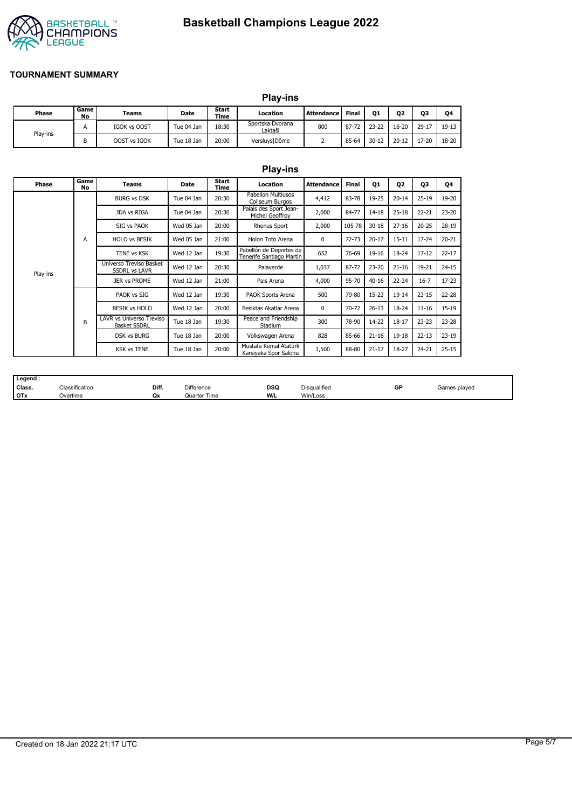

# **Basketball Champions League 2022**

#### **TOURNAMENT SUMMARY**

|          |            |              |            |                      | <b>Play-ins</b>             |                   |       |           |           |        |         |
|----------|------------|--------------|------------|----------------------|-----------------------------|-------------------|-------|-----------|-----------|--------|---------|
| Phase    | Game<br>No | Teams        | Date       | Start<br><b>Time</b> | Location                    | <b>Attendance</b> | Final | Q1        | <b>Q2</b> | Q3     | Q4      |
| Play-ins |            | IGOK vs OOST | Tue 04 Jan | 18:30                | Sportska Dvorana<br>Laktaši | 800               | 87-72 | $23 - 22$ | $16 - 20$ | $29-1$ | $19-13$ |
|          | В          | OOST vs IGOK | Tue 18 Jan | 20:00                | Versluys   Dôme             |                   | 85-64 | $30 - 12$ | $20 - 12$ | 17-20  | 18-20   |

|          |                   |                                                 |             |               | <b>Play-ins</b>                                     |                   |           |           |                        |           |           |
|----------|-------------------|-------------------------------------------------|-------------|---------------|-----------------------------------------------------|-------------------|-----------|-----------|------------------------|-----------|-----------|
| Phase    | Game<br><b>No</b> | <b>Teams</b>                                    | <b>Date</b> | Start<br>Time | Location                                            | <b>Attendance</b> | Final     | Q1        | 02                     | 03        | Q4        |
|          |                   | <b>BURG vs DSK</b>                              | Tue 04 Jan  | 20:30         | <b>Pabellon Multiusos</b><br>Coliseum Burgos        | 4,412             | 83-78     | 19-25     | $20 - 14$              | $25 - 19$ | 19-20     |
|          |                   | JDA vs RIGA                                     | Tue 04 Jan  | 20:30         | Palais des Sport Jean-<br>Michel Geoffroy           | 2,000             | 84-77     | $14 - 18$ | $25 - 18$              | $22 - 21$ | $23 - 20$ |
|          |                   | SIG vs PAOK                                     | Wed 05 Jan  | 20:00         | Rhenus Sport                                        | 2,000             | 105-78    | $30 - 18$ | $27 - 16$<br>$20 - 25$ | 28-19     |           |
|          | A                 | <b>HOLO vs BESIK</b>                            | Wed 05 Jan  | 21:00         | Holon Toto Arena                                    | 0                 | $72 - 73$ | $20 - 17$ | $15 - 11$              | $17 - 24$ | $20 - 21$ |
|          |                   | <b>TENE vs KSK</b>                              | Wed 12 Jan  | 19:30         | Pabellón de Deportes de<br>Tenerife Santiago Martin | 652               | 76-69     | 19-16     | 18-24                  | $17 - 12$ | $22 - 17$ |
| Play-ins |                   | Universo Treviso Basket<br><b>SSDRL vs LAVR</b> | Wed 12 Jan  | 20:30         | Palaverde                                           | 1,037             | 87-72     | $23 - 20$ | $21 - 16$              | 19-21     | $24 - 15$ |
|          |                   | JER vs PROME                                    | Wed 12 Jan  | 21:00         | Pais Arena                                          | 4,000             | 95-70     | $40 - 16$ | $22 - 24$              | $16 - 7$  | $17 - 23$ |
|          |                   | PAOK vs SIG                                     | Wed 12 Jan  | 19:30         | PAOK Sports Arena                                   | 500               | 79-80     | 15-23     | $19 - 14$              | $23 - 15$ | 22-28     |
|          |                   | <b>BESIK vs HOLO</b>                            | Wed 12 Jan  | 20:00         | Besiktas Akatlar Arena                              | 0                 | 70-72     | $26 - 13$ | $18 - 24$              | $11 - 16$ | 15-19     |
|          | B                 | LAVR vs Universo Treviso<br><b>Basket SSDRL</b> | Tue 18 Jan  | 19:30         | Peace and Friendship<br>Stadium                     | 300               | 78-90     | 14-22     | $18 - 17$              | $23 - 23$ | $23 - 28$ |
|          |                   | <b>DSK vs BURG</b>                              | Tue 18 Jan  | 20:00         | Volkswagen Arena                                    | 828               | 85-66     | $21 - 16$ | 19-18                  | $22 - 13$ | $23 - 19$ |
|          |                   | <b>KSK vs TENE</b>                              | Tue 18 Jan  | 20:00         | Mustafa Kemal Atatürk<br>Karsiyaka Spor Salonu      | 1,500             | 88-80     | $21 - 17$ | 18-27                  | $24 - 21$ | $25 - 15$ |

|            | Legend |                |       |                   |            |                     |    |              |
|------------|--------|----------------|-------|-------------------|------------|---------------------|----|--------------|
|            | Class. | Classification | Diff. | <b>Difference</b> | <b>DSQ</b> | <b>Disqualified</b> | GP | Games played |
| <b>OTx</b> |        | Overtime       | Qx    | Quarter Time      | W/L        | Win/Loss            |    |              |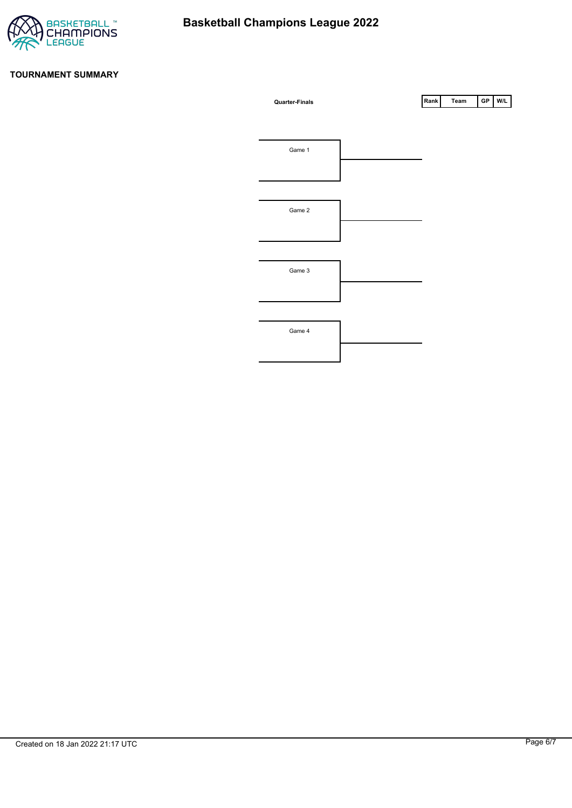